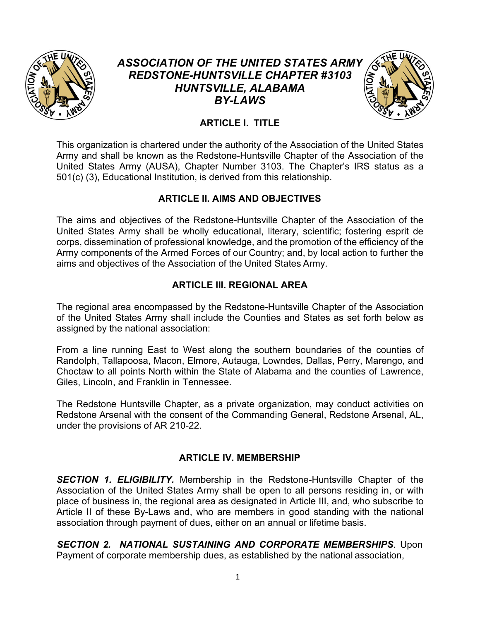

# *ASSOCIATION OF THE UNITED STATES ARMY REDSTONE-HUNTSVILLE CHAPTER #3103 HUNTSVILLE, ALABAMA BY-LAWS*



# **ARTICLE I. TITLE**

This organization is chartered under the authority of the Association of the United States Army and shall be known as the Redstone-Huntsville Chapter of the Association of the United States Army (AUSA), Chapter Number 3103. The Chapter's IRS status as a 501(c) (3), Educational Institution, is derived from this relationship.

## **ARTICLE II. AIMS AND OBJECTIVES**

The aims and objectives of the Redstone-Huntsville Chapter of the Association of the United States Army shall be wholly educational, literary, scientific; fostering esprit de corps, dissemination of professional knowledge, and the promotion of the efficiency of the Army components of the Armed Forces of our Country; and, by local action to further the aims and objectives of the Association of the United States Army.

## **ARTICLE III. REGIONAL AREA**

The regional area encompassed by the Redstone-Huntsville Chapter of the Association of the United States Army shall include the Counties and States as set forth below as assigned by the national association:

From a line running East to West along the southern boundaries of the counties of Randolph, Tallapoosa, Macon, Elmore, Autauga, Lowndes, Dallas, Perry, Marengo, and Choctaw to all points North within the State of Alabama and the counties of Lawrence, Giles, Lincoln, and Franklin in Tennessee.

The Redstone Huntsville Chapter, as a private organization, may conduct activities on Redstone Arsenal with the consent of the Commanding General, Redstone Arsenal, AL, under the provisions of AR 210-22.

## **ARTICLE IV. MEMBERSHIP**

*SECTION 1. ELIGIBILITY.* Membership in the Redstone-Huntsville Chapter of the Association of the United States Army shall be open to all persons residing in, or with place of business in, the regional area as designated in Article III, and, who subscribe to Article II of these By-Laws and, who are members in good standing with the national association through payment of dues, either on an annual or lifetime basis.

*SECTION 2. NATIONAL SUSTAINING AND CORPORATE MEMBERSHIPS.* Upon Payment of corporate membership dues, as established by the national association,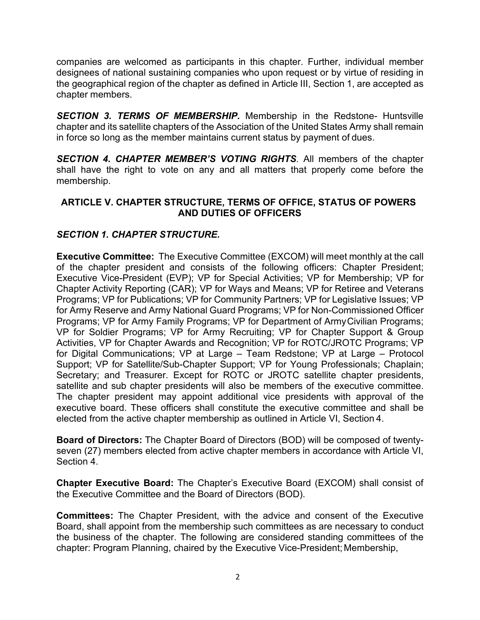companies are welcomed as participants in this chapter. Further, individual member designees of national sustaining companies who upon request or by virtue of residing in the geographical region of the chapter as defined in Article III, Section 1, are accepted as chapter members.

*SECTION 3. TERMS OF MEMBERSHIP.* Membership in the Redstone- Huntsville chapter and its satellite chapters of the Association of the United States Army shall remain in force so long as the member maintains current status by payment of dues.

*SECTION 4. CHAPTER MEMBER'S VOTING RIGHTS.* All members of the chapter shall have the right to vote on any and all matters that properly come before the membership.

## **ARTICLE V. CHAPTER STRUCTURE, TERMS OF OFFICE, STATUS OF POWERS AND DUTIES OF OFFICERS**

## *SECTION 1. CHAPTER STRUCTURE.*

**Executive Committee:** The Executive Committee (EXCOM) will meet monthly at the call of the chapter president and consists of the following officers: Chapter President; Executive Vice-President (EVP); VP for Special Activities; VP for Membership; VP for Chapter Activity Reporting (CAR); VP for Ways and Means; VP for Retiree and Veterans Programs; VP for Publications; VP for Community Partners; VP for Legislative Issues; VP for Army Reserve and Army National Guard Programs; VP for Non-Commissioned Officer Programs; VP for Army Family Programs; VP for Department of ArmyCivilian Programs; VP for Soldier Programs; VP for Army Recruiting; VP for Chapter Support & Group Activities, VP for Chapter Awards and Recognition; VP for ROTC/JROTC Programs; VP for Digital Communications; VP at Large – Team Redstone; VP at Large – Protocol Support; VP for Satellite/Sub-Chapter Support; VP for Young Professionals; Chaplain; Secretary; and Treasurer. Except for ROTC or JROTC satellite chapter presidents, satellite and sub chapter presidents will also be members of the executive committee. The chapter president may appoint additional vice presidents with approval of the executive board. These officers shall constitute the executive committee and shall be elected from the active chapter membership as outlined in Article VI, Section 4.

**Board of Directors:** The Chapter Board of Directors (BOD) will be composed of twentyseven (27) members elected from active chapter members in accordance with Article VI, Section 4.

**Chapter Executive Board:** The Chapter's Executive Board (EXCOM) shall consist of the Executive Committee and the Board of Directors (BOD).

**Committees:** The Chapter President, with the advice and consent of the Executive Board, shall appoint from the membership such committees as are necessary to conduct the business of the chapter. The following are considered standing committees of the chapter: Program Planning, chaired by the Executive Vice-President; Membership,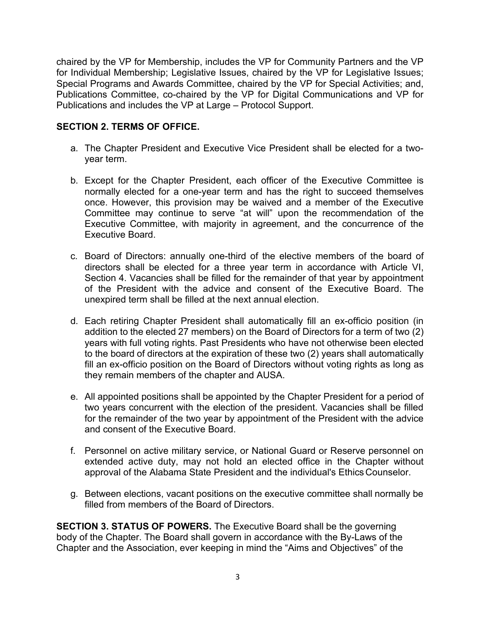chaired by the VP for Membership, includes the VP for Community Partners and the VP for Individual Membership; Legislative Issues, chaired by the VP for Legislative Issues; Special Programs and Awards Committee, chaired by the VP for Special Activities; and, Publications Committee, co-chaired by the VP for Digital Communications and VP for Publications and includes the VP at Large – Protocol Support.

## **SECTION 2. TERMS OF OFFICE.**

- a. The Chapter President and Executive Vice President shall be elected for a twoyear term.
- b. Except for the Chapter President, each officer of the Executive Committee is normally elected for a one-year term and has the right to succeed themselves once. However, this provision may be waived and a member of the Executive Committee may continue to serve "at will" upon the recommendation of the Executive Committee, with majority in agreement, and the concurrence of the Executive Board.
- c. Board of Directors: annually one-third of the elective members of the board of directors shall be elected for a three year term in accordance with Article VI, Section 4. Vacancies shall be filled for the remainder of that year by appointment of the President with the advice and consent of the Executive Board. The unexpired term shall be filled at the next annual election.
- d. Each retiring Chapter President shall automatically fill an ex-officio position (in addition to the elected 27 members) on the Board of Directors for a term of two (2) years with full voting rights. Past Presidents who have not otherwise been elected to the board of directors at the expiration of these two (2) years shall automatically fill an ex-officio position on the Board of Directors without voting rights as long as they remain members of the chapter and AUSA.
- e. All appointed positions shall be appointed by the Chapter President for a period of two years concurrent with the election of the president. Vacancies shall be filled for the remainder of the two year by appointment of the President with the advice and consent of the Executive Board.
- f. Personnel on active military service, or National Guard or Reserve personnel on extended active duty, may not hold an elected office in the Chapter without approval of the Alabama State President and the individual's Ethics Counselor.
- g. Between elections, vacant positions on the executive committee shall normally be filled from members of the Board of Directors.

**SECTION 3. STATUS OF POWERS.** The Executive Board shall be the governing body of the Chapter. The Board shall govern in accordance with the By-Laws of the Chapter and the Association, ever keeping in mind the "Aims and Objectives" of the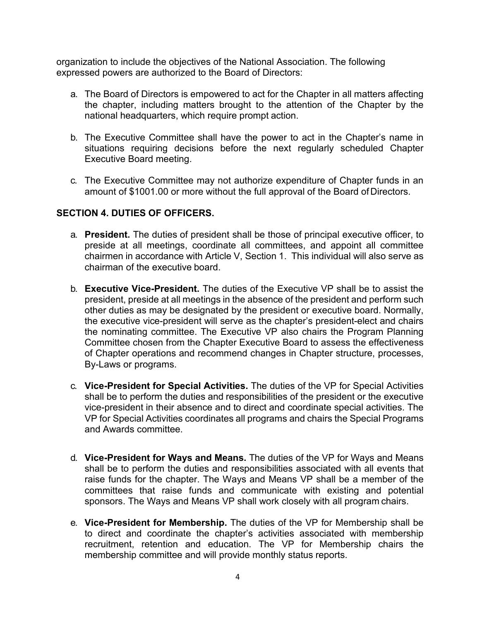organization to include the objectives of the National Association. The following expressed powers are authorized to the Board of Directors:

- a. The Board of Directors is empowered to act for the Chapter in all matters affecting the chapter, including matters brought to the attention of the Chapter by the national headquarters, which require prompt action.
- b. The Executive Committee shall have the power to act in the Chapter's name in situations requiring decisions before the next regularly scheduled Chapter Executive Board meeting.
- c. The Executive Committee may not authorize expenditure of Chapter funds in an amount of \$1001.00 or more without the full approval of the Board ofDirectors.

#### **SECTION 4. DUTIES OF OFFICERS.**

- a. **President.** The duties of president shall be those of principal executive officer, to preside at all meetings, coordinate all committees, and appoint all committee chairmen in accordance with Article V, Section 1. This individual will also serve as chairman of the executive board.
- b. **Executive Vice-President.** The duties of the Executive VP shall be to assist the president, preside at all meetings in the absence of the president and perform such other duties as may be designated by the president or executive board. Normally, the executive vice-president will serve as the chapter's president-elect and chairs the nominating committee. The Executive VP also chairs the Program Planning Committee chosen from the Chapter Executive Board to assess the effectiveness of Chapter operations and recommend changes in Chapter structure, processes, By-Laws or programs.
- c. **Vice-President for Special Activities.** The duties of the VP for Special Activities shall be to perform the duties and responsibilities of the president or the executive vice-president in their absence and to direct and coordinate special activities. The VP for Special Activities coordinates all programs and chairs the Special Programs and Awards committee.
- d. **Vice-President for Ways and Means.** The duties of the VP for Ways and Means shall be to perform the duties and responsibilities associated with all events that raise funds for the chapter. The Ways and Means VP shall be a member of the committees that raise funds and communicate with existing and potential sponsors. The Ways and Means VP shall work closely with all program chairs.
- e. **Vice-President for Membership.** The duties of the VP for Membership shall be to direct and coordinate the chapter's activities associated with membership recruitment, retention and education. The VP for Membership chairs the membership committee and will provide monthly status reports.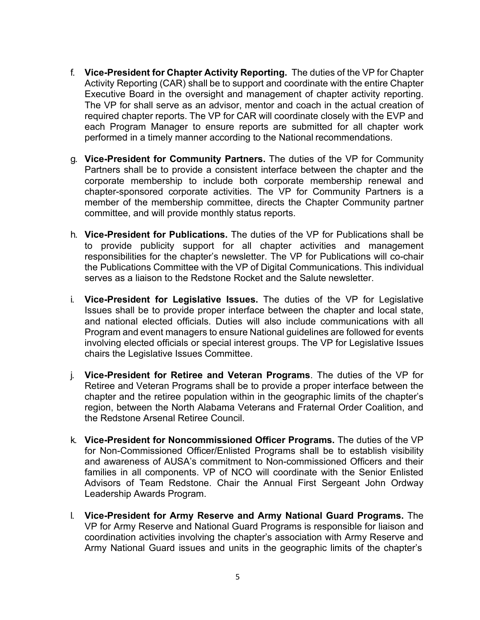- f. **Vice-President for Chapter Activity Reporting.** The duties of the VP for Chapter Activity Reporting (CAR) shall be to support and coordinate with the entire Chapter Executive Board in the oversight and management of chapter activity reporting. The VP for shall serve as an advisor, mentor and coach in the actual creation of required chapter reports. The VP for CAR will coordinate closely with the EVP and each Program Manager to ensure reports are submitted for all chapter work performed in a timely manner according to the National recommendations.
- g. **Vice-President for Community Partners.** The duties of the VP for Community Partners shall be to provide a consistent interface between the chapter and the corporate membership to include both corporate membership renewal and chapter-sponsored corporate activities. The VP for Community Partners is a member of the membership committee, directs the Chapter Community partner committee, and will provide monthly status reports.
- h. **Vice-President for Publications.** The duties of the VP for Publications shall be to provide publicity support for all chapter activities and management responsibilities for the chapter's newsletter. The VP for Publications will co-chair the Publications Committee with the VP of Digital Communications. This individual serves as a liaison to the Redstone Rocket and the Salute newsletter.
- i. **Vice-President for Legislative Issues.** The duties of the VP for Legislative Issues shall be to provide proper interface between the chapter and local state, and national elected officials. Duties will also include communications with all Program and event managers to ensure National guidelines are followed for events involving elected officials or special interest groups. The VP for Legislative Issues chairs the Legislative Issues Committee.
- j. **Vice-President for Retiree and Veteran Programs**. The duties of the VP for Retiree and Veteran Programs shall be to provide a proper interface between the chapter and the retiree population within in the geographic limits of the chapter's region, between the North Alabama Veterans and Fraternal Order Coalition, and the Redstone Arsenal Retiree Council.
- k. **Vice-President for Noncommissioned Officer Programs.** The duties of the VP for Non-Commissioned Officer/Enlisted Programs shall be to establish visibility and awareness of AUSA's commitment to Non-commissioned Officers and their families in all components. VP of NCO will coordinate with the Senior Enlisted Advisors of Team Redstone. Chair the Annual First Sergeant John Ordway Leadership Awards Program.
- l. **Vice-President for Army Reserve and Army National Guard Programs.** The VP for Army Reserve and National Guard Programs is responsible for liaison and coordination activities involving the chapter's association with Army Reserve and Army National Guard issues and units in the geographic limits of the chapter's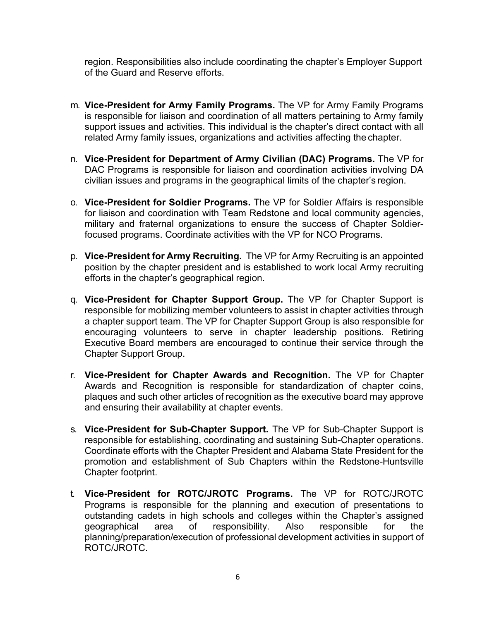region. Responsibilities also include coordinating the chapter's Employer Support of the Guard and Reserve efforts.

- m. **Vice-President for Army Family Programs.** The VP for Army Family Programs is responsible for liaison and coordination of all matters pertaining to Army family support issues and activities. This individual is the chapter's direct contact with all related Army family issues, organizations and activities affecting the chapter.
- n. **Vice-President for Department of Army Civilian (DAC) Programs.** The VP for DAC Programs is responsible for liaison and coordination activities involving DA civilian issues and programs in the geographical limits of the chapter's region.
- o. **Vice-President for Soldier Programs.** The VP for Soldier Affairs is responsible for liaison and coordination with Team Redstone and local community agencies, military and fraternal organizations to ensure the success of Chapter Soldierfocused programs. Coordinate activities with the VP for NCO Programs.
- p. **Vice-President for Army Recruiting.** The VP for Army Recruiting is an appointed position by the chapter president and is established to work local Army recruiting efforts in the chapter's geographical region.
- q. **Vice-President for Chapter Support Group.** The VP for Chapter Support is responsible for mobilizing member volunteers to assist in chapter activities through a chapter support team. The VP for Chapter Support Group is also responsible for encouraging volunteers to serve in chapter leadership positions. Retiring Executive Board members are encouraged to continue their service through the Chapter Support Group.
- r. **Vice-President for Chapter Awards and Recognition.** The VP for Chapter Awards and Recognition is responsible for standardization of chapter coins, plaques and such other articles of recognition as the executive board may approve and ensuring their availability at chapter events.
- s. **Vice-President for Sub-Chapter Support.** The VP for Sub-Chapter Support is responsible for establishing, coordinating and sustaining Sub-Chapter operations. Coordinate efforts with the Chapter President and Alabama State President for the promotion and establishment of Sub Chapters within the Redstone-Huntsville Chapter footprint.
- t. **Vice-President for ROTC/JROTC Programs.** The VP for ROTC/JROTC Programs is responsible for the planning and execution of presentations to outstanding cadets in high schools and colleges within the Chapter's assigned geographical area of responsibility. Also responsible for the planning/preparation/execution of professional development activities in support of ROTC/JROTC.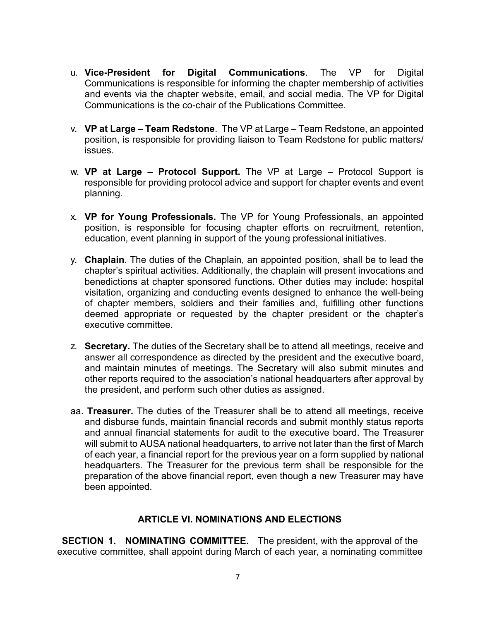- u. **Vice-President for Digital Communications**. The VP for Digital Communications is responsible for informing the chapter membership of activities and events via the chapter website, email, and social media. The VP for Digital Communications is the co-chair of the Publications Committee.
- v. **VP at Large – Team Redstone**. The VP at Large Team Redstone, an appointed position, is responsible for providing liaison to Team Redstone for public matters/ issues.
- w. **VP at Large – Protocol Support.** The VP at Large Protocol Support is responsible for providing protocol advice and support for chapter events and event planning.
- x. **VP for Young Professionals.** The VP for Young Professionals, an appointed position, is responsible for focusing chapter efforts on recruitment, retention, education, event planning in support of the young professional initiatives.
- y. **Chaplain**. The duties of the Chaplain, an appointed position, shall be to lead the chapter's spiritual activities. Additionally, the chaplain will present invocations and benedictions at chapter sponsored functions. Other duties may include: hospital visitation, organizing and conducting events designed to enhance the well-being of chapter members, soldiers and their families and, fulfilling other functions deemed appropriate or requested by the chapter president or the chapter's executive committee.
- z. **Secretary.** The duties of the Secretary shall be to attend all meetings, receive and answer all correspondence as directed by the president and the executive board, and maintain minutes of meetings. The Secretary will also submit minutes and other reports required to the association's national headquarters after approval by the president, and perform such other duties as assigned.
- aa. **Treasurer.** The duties of the Treasurer shall be to attend all meetings, receive and disburse funds, maintain financial records and submit monthly status reports and annual financial statements for audit to the executive board. The Treasurer will submit to AUSA national headquarters, to arrive not later than the first of March of each year, a financial report for the previous year on a form supplied by national headquarters. The Treasurer for the previous term shall be responsible for the preparation of the above financial report, even though a new Treasurer may have been appointed.

#### **ARTICLE VI. NOMINATIONS AND ELECTIONS**

**SECTION 1. NOMINATING COMMITTEE.** The president, with the approval of the executive committee, shall appoint during March of each year, a nominating committee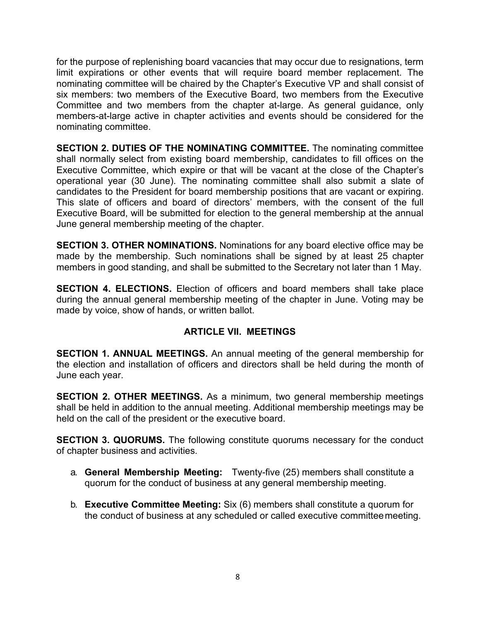for the purpose of replenishing board vacancies that may occur due to resignations, term limit expirations or other events that will require board member replacement. The nominating committee will be chaired by the Chapter's Executive VP and shall consist of six members: two members of the Executive Board, two members from the Executive Committee and two members from the chapter at-large. As general guidance, only members-at-large active in chapter activities and events should be considered for the nominating committee.

**SECTION 2. DUTIES OF THE NOMINATING COMMITTEE.** The nominating committee shall normally select from existing board membership, candidates to fill offices on the Executive Committee, which expire or that will be vacant at the close of the Chapter's operational year (30 June). The nominating committee shall also submit a slate of candidates to the President for board membership positions that are vacant or expiring. This slate of officers and board of directors' members, with the consent of the full Executive Board, will be submitted for election to the general membership at the annual June general membership meeting of the chapter.

**SECTION 3. OTHER NOMINATIONS.** Nominations for any board elective office may be made by the membership. Such nominations shall be signed by at least 25 chapter members in good standing, and shall be submitted to the Secretary not later than 1 May.

**SECTION 4. ELECTIONS.** Election of officers and board members shall take place during the annual general membership meeting of the chapter in June. Voting may be made by voice, show of hands, or written ballot.

## **ARTICLE VII. MEETINGS**

**SECTION 1. ANNUAL MEETINGS.** An annual meeting of the general membership for the election and installation of officers and directors shall be held during the month of June each year.

**SECTION 2. OTHER MEETINGS.** As a minimum, two general membership meetings shall be held in addition to the annual meeting. Additional membership meetings may be held on the call of the president or the executive board.

**SECTION 3. QUORUMS.** The following constitute quorums necessary for the conduct of chapter business and activities.

- a. **General Membership Meeting:** Twenty-five (25) members shall constitute a quorum for the conduct of business at any general membership meeting.
- b. **Executive Committee Meeting:** Six (6) members shall constitute a quorum for the conduct of business at any scheduled or called executive committeemeeting.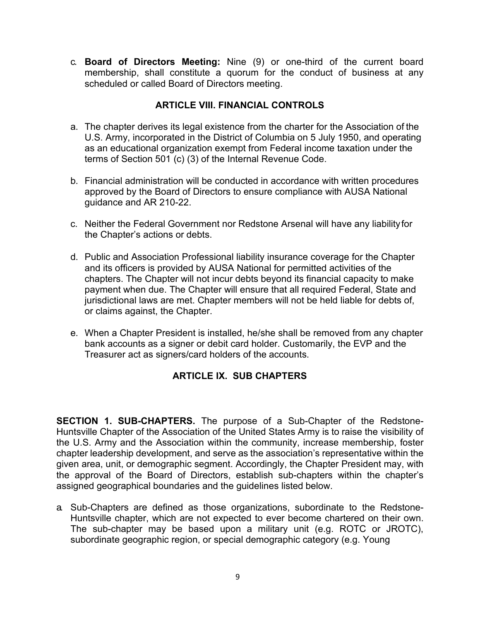c. **Board of Directors Meeting:** Nine (9) or one-third of the current board membership, shall constitute a quorum for the conduct of business at any scheduled or called Board of Directors meeting.

## **ARTICLE VIII. FINANCIAL CONTROLS**

- a. The chapter derives its legal existence from the charter for the Association of the U.S. Army, incorporated in the District of Columbia on 5 July 1950, and operating as an educational organization exempt from Federal income taxation under the terms of Section 501 (c) (3) of the Internal Revenue Code.
- b. Financial administration will be conducted in accordance with written procedures approved by the Board of Directors to ensure compliance with AUSA National guidance and AR 210-22.
- c. Neither the Federal Government nor Redstone Arsenal will have any liabilityfor the Chapter's actions or debts.
- d. Public and Association Professional liability insurance coverage for the Chapter and its officers is provided by AUSA National for permitted activities of the chapters. The Chapter will not incur debts beyond its financial capacity to make payment when due. The Chapter will ensure that all required Federal, State and jurisdictional laws are met. Chapter members will not be held liable for debts of, or claims against, the Chapter.
- e. When a Chapter President is installed, he/she shall be removed from any chapter bank accounts as a signer or debit card holder. Customarily, the EVP and the Treasurer act as signers/card holders of the accounts.

# **ARTICLE IX. SUB CHAPTERS**

**SECTION 1. SUB-CHAPTERS.** The purpose of a Sub-Chapter of the Redstone-Huntsville Chapter of the Association of the United States Army is to raise the visibility of the U.S. Army and the Association within the community, increase membership, foster chapter leadership development, and serve as the association's representative within the given area, unit, or demographic segment. Accordingly, the Chapter President may, with the approval of the Board of Directors, establish sub-chapters within the chapter's assigned geographical boundaries and the guidelines listed below.

a. Sub-Chapters are defined as those organizations, subordinate to the Redstone-Huntsville chapter, which are not expected to ever become chartered on their own. The sub-chapter may be based upon a military unit (e.g. ROTC or JROTC), subordinate geographic region, or special demographic category (e.g. Young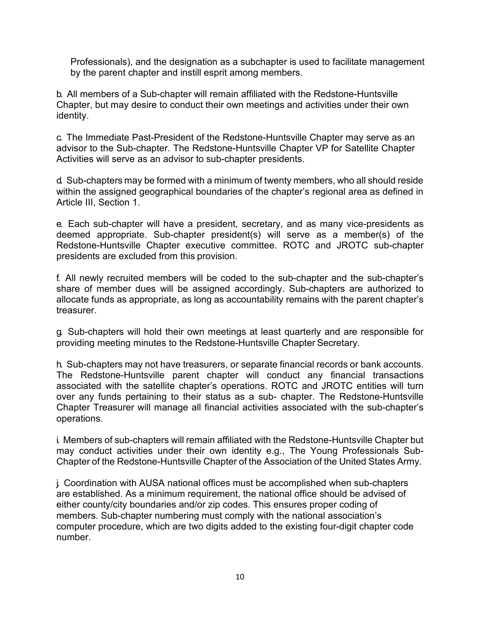Professionals), and the designation as a subchapter is used to facilitate management by the parent chapter and instill esprit among members.

b. All members of a Sub-chapter will remain affiliated with the Redstone-Huntsville Chapter, but may desire to conduct their own meetings and activities under their own identity.

c. The Immediate Past-President of the Redstone-Huntsville Chapter may serve as an advisor to the Sub-chapter. The Redstone-Huntsville Chapter VP for Satellite Chapter Activities will serve as an advisor to sub-chapter presidents.

d. Sub-chapters may be formed with a minimum of twenty members, who all should reside within the assigned geographical boundaries of the chapter's regional area as defined in Article III, Section 1.

e. Each sub-chapter will have a president, secretary, and as many vice-presidents as deemed appropriate. Sub-chapter president(s) will serve as a member(s) of the Redstone-Huntsville Chapter executive committee. ROTC and JROTC sub-chapter presidents are excluded from this provision.

f. All newly recruited members will be coded to the sub-chapter and the sub-chapter's share of member dues will be assigned accordingly. Sub-chapters are authorized to allocate funds as appropriate, as long as accountability remains with the parent chapter's treasurer.

g. Sub-chapters will hold their own meetings at least quarterly and are responsible for providing meeting minutes to the Redstone-Huntsville Chapter Secretary.

h. Sub-chapters may not have treasurers, or separate financial records or bank accounts. The Redstone-Huntsville parent chapter will conduct any financial transactions associated with the satellite chapter's operations. ROTC and JROTC entities will turn over any funds pertaining to their status as a sub- chapter. The Redstone-Huntsville Chapter Treasurer will manage all financial activities associated with the sub-chapter's operations.

i. Members of sub-chapters will remain affiliated with the Redstone-Huntsville Chapter but may conduct activities under their own identity e.g., The Young Professionals Sub-Chapter of the Redstone-Huntsville Chapter of the Association of the United States Army.

j. Coordination with AUSA national offices must be accomplished when sub-chapters are established. As a minimum requirement, the national office should be advised of either county/city boundaries and/or zip codes. This ensures proper coding of members. Sub-chapter numbering must comply with the national association's computer procedure, which are two digits added to the existing four-digit chapter code number.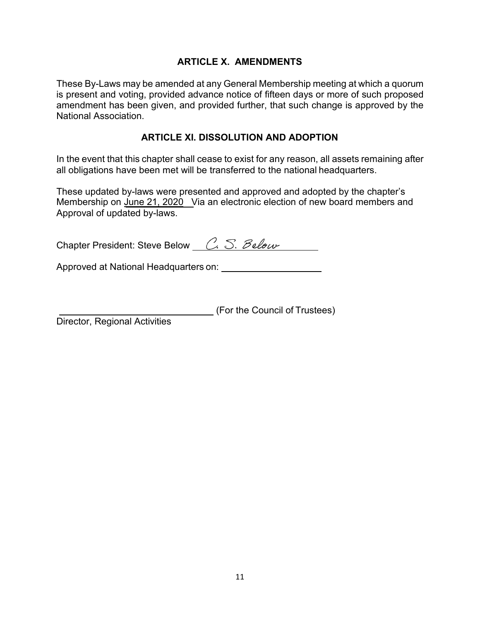## **ARTICLE X. AMENDMENTS**

These By-Laws may be amended at any General Membership meeting at which a quorum is present and voting, provided advance notice of fifteen days or more of such proposed amendment has been given, and provided further, that such change is approved by the National Association.

#### **ARTICLE XI. DISSOLUTION AND ADOPTION**

In the event that this chapter shall cease to exist for any reason, all assets remaining after all obligations have been met will be transferred to the national headquarters.

These updated by-laws were presented and approved and adopted by the chapter's Membership on <u>June 21, 2020</u> \_Via an electronic election of new board members and Approval of updated by-laws.

| Chapter President: Steve Below C. S. Below |  |
|--------------------------------------------|--|
|                                            |  |

Approved at National Headquarters on: \[\essequence research research research research research research research research research research research research research research research research research research research

(For the Council of Trustees)

Director, Regional Activities